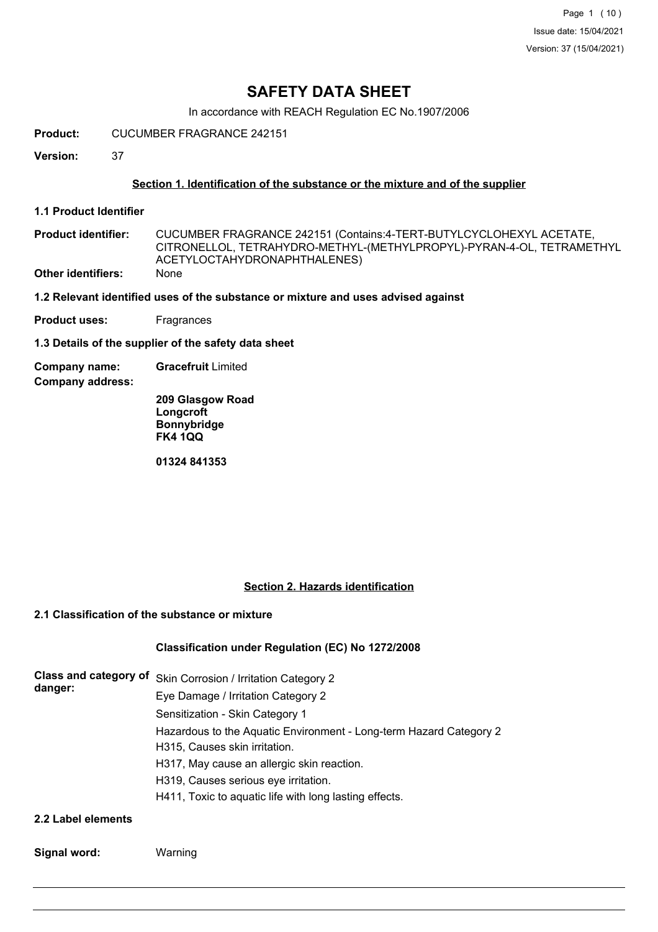Page 1 (10) Issue date: 15/04/2021 Version: 37 (15/04/2021)

# **SAFETY DATA SHEET**

In accordance with REACH Regulation EC No.1907/2006

**Product:** CUCUMBER FRAGRANCE 242151

**Version:** 37

### **Section 1. Identification of the substance or the mixture and of the supplier**

**1.1 Product Identifier**

CUCUMBER FRAGRANCE 242151 (Contains:4-TERT-BUTYLCYCLOHEXYL ACETATE, CITRONELLOL, TETRAHYDRO-METHYL-(METHYLPROPYL)-PYRAN-4-OL, TETRAMETHYL ACETYLOCTAHYDRONAPHTHALENES) **Product identifier: Other identifiers:** None

**1.2 Relevant identified uses of the substance or mixture and uses advised against**

**Product uses:** Fragrances

**1.3 Details of the supplier of the safety data sheet**

**Company name: Gracefruit** Limited

**Company address:**

**209 Glasgow Road Longcroft Bonnybridge FK4 1QQ**

**01324 841353**

### **Section 2. Hazards identification**

### **2.1 Classification of the substance or mixture**

## **Classification under Regulation (EC) No 1272/2008**

| danger: | Class and category of Skin Corrosion / Irritation Category 2       |
|---------|--------------------------------------------------------------------|
|         | Eye Damage / Irritation Category 2                                 |
|         | Sensitization - Skin Category 1                                    |
|         | Hazardous to the Aquatic Environment - Long-term Hazard Category 2 |
|         | H315, Causes skin irritation.                                      |
|         | H317, May cause an allergic skin reaction.                         |
|         | H319, Causes serious eye irritation.                               |
|         | H411, Toxic to aquatic life with long lasting effects.             |
|         |                                                                    |

### **2.2 Label elements**

**Signal word:** Warning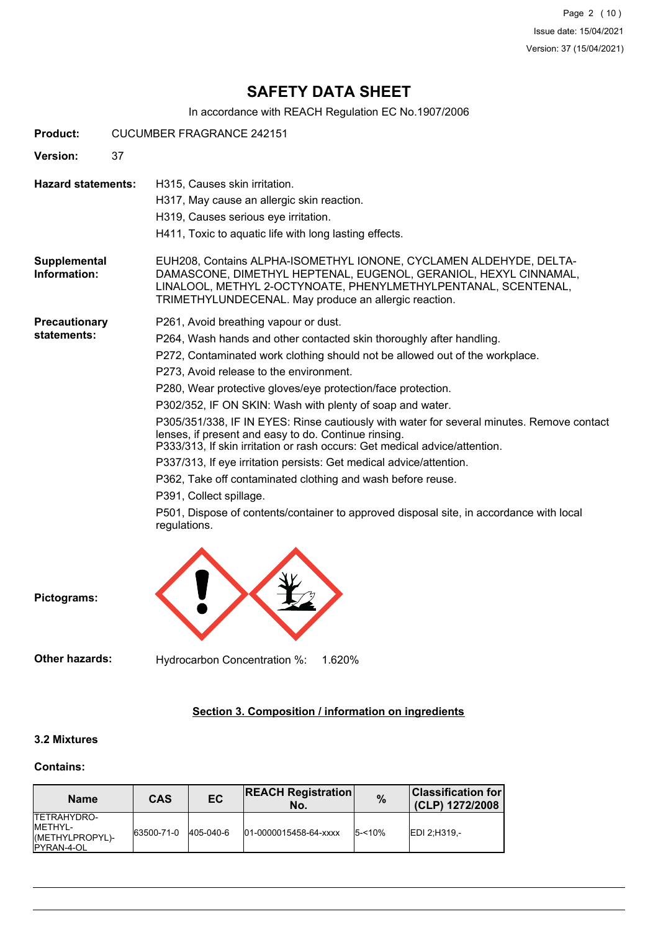Page 2 (10) Issue date: 15/04/2021 Version: 37 (15/04/2021)

# **SAFETY DATA SHEET**

In accordance with REACH Regulation EC No.1907/2006

| Product:                            |    | <b>CUCUMBER FRAGRANCE 242151</b>                                                                                                                                                                                                                                                                                                                                                                                                                                                                                                                                                                                                                                                                                                                                                                                                                                                     |  |  |  |
|-------------------------------------|----|--------------------------------------------------------------------------------------------------------------------------------------------------------------------------------------------------------------------------------------------------------------------------------------------------------------------------------------------------------------------------------------------------------------------------------------------------------------------------------------------------------------------------------------------------------------------------------------------------------------------------------------------------------------------------------------------------------------------------------------------------------------------------------------------------------------------------------------------------------------------------------------|--|--|--|
| <b>Version:</b>                     | 37 |                                                                                                                                                                                                                                                                                                                                                                                                                                                                                                                                                                                                                                                                                                                                                                                                                                                                                      |  |  |  |
| <b>Hazard statements:</b>           |    | H315, Causes skin irritation.<br>H317, May cause an allergic skin reaction.<br>H319, Causes serious eye irritation.<br>H411, Toxic to aquatic life with long lasting effects.                                                                                                                                                                                                                                                                                                                                                                                                                                                                                                                                                                                                                                                                                                        |  |  |  |
| Supplemental<br>Information:        |    | EUH208, Contains ALPHA-ISOMETHYL IONONE, CYCLAMEN ALDEHYDE, DELTA-<br>DAMASCONE, DIMETHYL HEPTENAL, EUGENOL, GERANIOL, HEXYL CINNAMAL,<br>LINALOOL, METHYL 2-OCTYNOATE, PHENYLMETHYLPENTANAL, SCENTENAL,<br>TRIMETHYLUNDECENAL. May produce an allergic reaction.                                                                                                                                                                                                                                                                                                                                                                                                                                                                                                                                                                                                                    |  |  |  |
| <b>Precautionary</b><br>statements: |    | P261, Avoid breathing vapour or dust.<br>P264, Wash hands and other contacted skin thoroughly after handling.<br>P272, Contaminated work clothing should not be allowed out of the workplace.<br>P273, Avoid release to the environment.<br>P280, Wear protective gloves/eye protection/face protection.<br>P302/352, IF ON SKIN: Wash with plenty of soap and water.<br>P305/351/338, IF IN EYES: Rinse cautiously with water for several minutes. Remove contact<br>lenses, if present and easy to do. Continue rinsing.<br>P333/313, If skin irritation or rash occurs: Get medical advice/attention.<br>P337/313, If eye irritation persists: Get medical advice/attention.<br>P362, Take off contaminated clothing and wash before reuse.<br>P391, Collect spillage.<br>P501, Dispose of contents/container to approved disposal site, in accordance with local<br>regulations. |  |  |  |
| Pictograms:                         |    |                                                                                                                                                                                                                                                                                                                                                                                                                                                                                                                                                                                                                                                                                                                                                                                                                                                                                      |  |  |  |

**Other hazards:** Hydrocarbon Concentration %: 1.620%

# **Section 3. Composition / information on ingredients**

### **3.2 Mixtures**

#### **Contains:**

| <b>Name</b>                                                             | CAS        | <b>EC</b> | <b>REACH Registration</b><br>No. | $\frac{9}{6}$ | $ {\sf Classification~for} $<br>(CLP) 1272/2008 |
|-------------------------------------------------------------------------|------------|-----------|----------------------------------|---------------|-------------------------------------------------|
| <b>TETRAHYDRO-</b><br>IMETHYL-<br>(METHYLPROPYL)-<br><b>IPYRAN-4-OL</b> | 63500-71-0 | 405-040-6 | 01-0000015458-64-xxxx            | $5 - 10%$     | IEDI 2:H319.-                                   |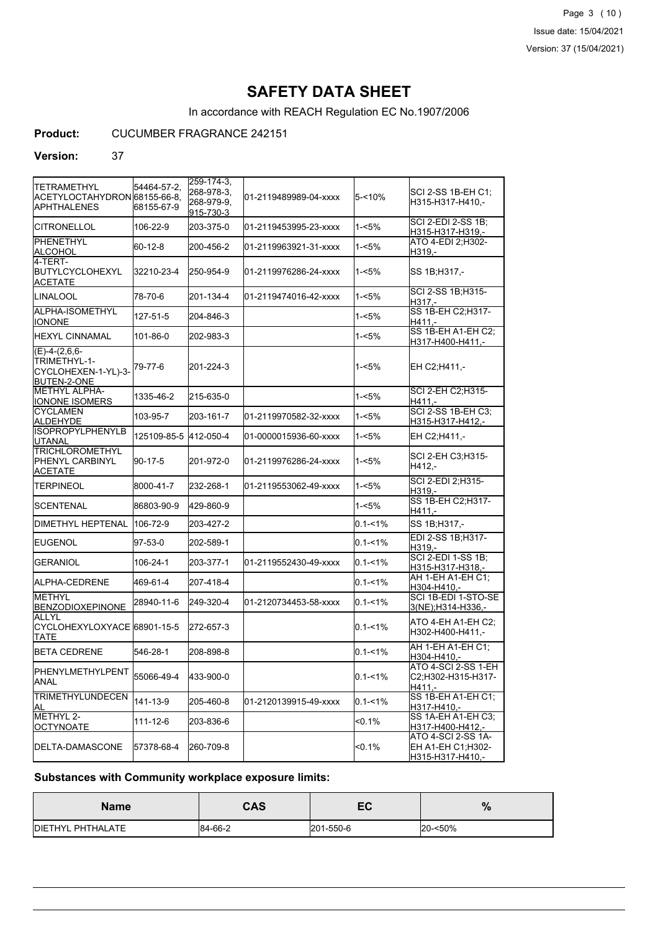Page 3 (10) Issue date: 15/04/2021 Version: 37 (15/04/2021)

# **SAFETY DATA SHEET**

In accordance with REACH Regulation EC No.1907/2006

**Product:** CUCUMBER FRAGRANCE 242151

### **Version:** 37

| <b>TETRAMETHYL</b><br>ACETYLOCTAHYDRON 68155-66-8.<br>APHTHALENES     | 54464-57-2,<br>68155-67-9 | 259-174-3,<br>268-978-3.<br>268-979-9,<br>915-730-3 | 01-2119489989-04-xxxx  | 5-<10%      | SCI 2-SS 1B-EH C1;<br>H315-H317-H410,-                             |
|-----------------------------------------------------------------------|---------------------------|-----------------------------------------------------|------------------------|-------------|--------------------------------------------------------------------|
| <b>CITRONELLOL</b>                                                    | 106-22-9                  | 203-375-0                                           | l01-2119453995-23-xxxx | 1-<5%       | <b>SCI 2-EDI 2-SS 1B:</b><br>H315-H317-H319,-                      |
| <b>I</b> PHENETHYL<br>ALCOHOL                                         | 60-12-8                   | 200-456-2                                           | 01-2119963921-31-xxxx  | 1-<5%       | ATO 4-EDI 2:H302-<br>H319.-                                        |
| 4-TERT-<br>BUTYLCYCLOHEXYL<br>ACETATE                                 | 32210-23-4                | 250-954-9                                           | 01-2119976286-24-xxxx  | 1-<5%       | SS 1B;H317,-                                                       |
| <b>LINALOOL</b>                                                       | 78-70-6                   | 201-134-4                                           | 01-2119474016-42-xxxx  | 1-<5%       | SCI 2-SS 1B;H315-<br>H317.-                                        |
| ALPHA-ISOMETHYL<br><b>IONONE</b>                                      | 127-51-5                  | 204-846-3                                           |                        | 1-<5%       | SS 1B-EH C2; H317-<br>H411.-                                       |
| HEXYL CINNAMAL                                                        | 101-86-0                  | 202-983-3                                           |                        | 1-<5%       | SS 1B-EH A1-EH C2;<br>H317-H400-H411,-                             |
| $(E)-4-(2,6,6-$<br>TRIMETHYL-1-<br>CYCLOHEXEN-1-YL)-3-<br>BUTEN-2-ONE | 79-77-6                   | 201-224-3                                           |                        | 1-<5%       | EH C2;H411,-                                                       |
| METHYL ALPHA-<br><b>IONONE ISOMERS</b>                                | 1335-46-2                 | 215-635-0                                           |                        | 1-<5%       | SCI 2-EH C2;H315-<br>H411.-                                        |
| <b>ICYCLAMEN</b><br>ALDEHYDE                                          | 103-95-7                  | 203-161-7                                           | 01-2119970582-32-xxxx  | 1-<5%       | <b>SCI 2-SS 1B-EH C3;</b><br>H315-H317-H412,-                      |
| <b>ISOPROPYLPHENYLB</b><br><b>UTANAL</b>                              | 125109-85-5               | 412-050-4                                           | 01-0000015936-60-xxxx  | $1 - 5%$    | EH C2;H411,-                                                       |
| <b>TRICHLOROMETHYL</b><br>PHENYL CARBINYL<br><b>ACETATE</b>           | 90-17-5                   | 201-972-0                                           | 01-2119976286-24-xxxx  | 1-<5%       | SCI 2-EH C3;H315-<br>H412.-                                        |
| TERPINEOL                                                             | 8000-41-7                 | 232-268-1                                           | 01-2119553062-49-xxxx  | 1-<5%       | <b>SCI 2-EDI 2:H315-</b><br>H319,-                                 |
| <b>SCENTENAL</b>                                                      | 86803-90-9                | 429-860-9                                           |                        | 1-<5%       | SS 1B-EH C2; H317-<br>H411.-                                       |
| <b>DIMETHYL HEPTENAL</b>                                              | 106-72-9                  | 203-427-2                                           |                        | $0.1 - 1\%$ | SS 1B;H317,-                                                       |
| IEUGENOL                                                              | 97-53-0                   | 202-589-1                                           |                        | $0.1 - 1\%$ | EDI 2-SS 1B; H317-<br>H319,-                                       |
| <b>GERANIOL</b>                                                       | 106-24-1                  | 203-377-1                                           | 01-2119552430-49-xxxx  | $0.1 - 1\%$ | <b>SCI 2-EDI 1-SS 1B;</b><br>H315-H317-H318,-                      |
| IALPHA-CEDRENE                                                        | 469-61-4                  | 207-418-4                                           |                        | $0.1 - 1\%$ | AH 1-EH A1-EH C1:<br>H304-H410.-                                   |
| <b>METHYL</b><br><b>BENZODIOXEPINONE</b>                              | 28940-11-6                | 249-320-4                                           | 01-2120734453-58-xxxx  | $0.1 - 1\%$ | SCI 1B-EDI 1-STO-SE<br>3(NE);H314-H336.-                           |
| IALLYL<br>CYCLOHEXYLOXYACE 68901-15-5<br><b>TATE</b>                  |                           | 272-657-3                                           |                        | $0.1 - 1\%$ | ATO 4-EH A1-EH C2;<br>H302-H400-H411,-                             |
| <b>BETA CEDRENE</b>                                                   | 546-28-1                  | 208-898-8                                           |                        | $0.1 - 1%$  | AH 1-EH A1-EH C1;<br>H304-H410,-                                   |
| PHENYLMETHYLPENT<br><b>ANAL</b>                                       | 55066-49-4                | 433-900-0                                           |                        | $0.1 - 1\%$ | ATO 4-SCI 2-SS 1-EH<br>C2;H302-H315-H317-<br>H411,-                |
| <b>TRIMETHYLUNDECEN</b><br>ΙAL                                        | 141-13-9                  | 205-460-8                                           | 01-2120139915-49-xxxx  | 0.1-<1%     | SS 1B-EH A1-EH C1;<br><u>H317-H410,-</u>                           |
| METHYL 2-<br><b>OCTYNOATE</b>                                         | 111-12-6                  | 203-836-6                                           |                        | $< 0.1\%$   | SS 1A-EH A1-EH C3;<br>H317-H400-H412,-                             |
| DELTA-DAMASCONE                                                       | 57378-68-4                | 260-709-8                                           |                        | $< 0.1\%$   | ATO 4-SCI 2-SS 1A-<br>EH A1-EH C1;H302-<br><u>H315-H317-H410,-</u> |

# **Substances with Community workplace exposure limits:**

| <b>Name</b>       | CAS     | cr<br>ᆮ   | $\mathbf{0}$<br>70 |
|-------------------|---------|-----------|--------------------|
| DIETHYL PHTHALATE | 84-66-2 | 201-550-6 | 20-<50%            |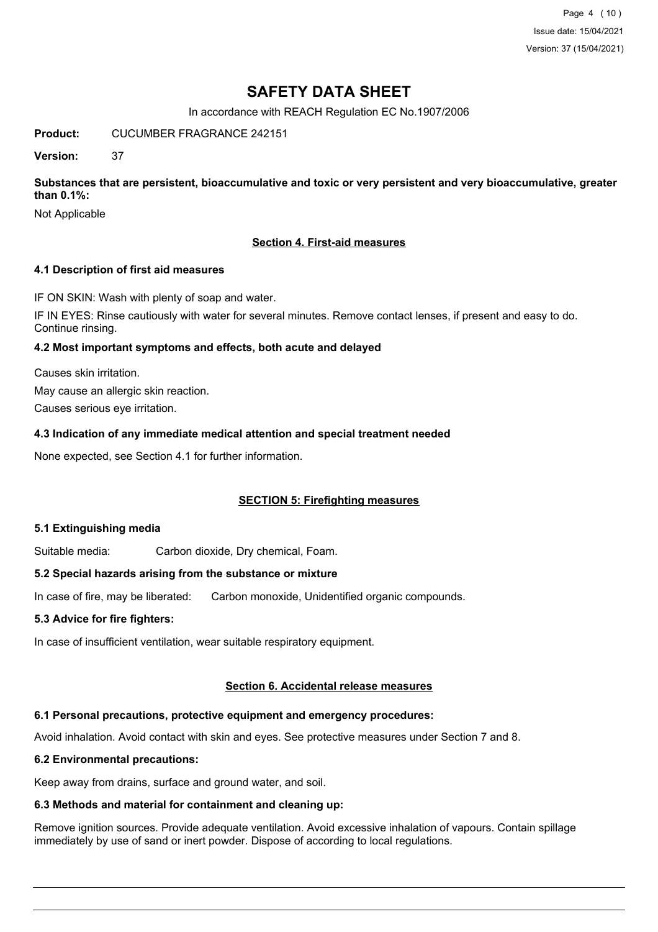Page 4 (10) Issue date: 15/04/2021 Version: 37 (15/04/2021)

# **SAFETY DATA SHEET**

In accordance with REACH Regulation EC No.1907/2006

**Product:** CUCUMBER FRAGRANCE 242151

**Version:** 37

**Substances that are persistent, bioaccumulative and toxic or very persistent and very bioaccumulative, greater than 0.1%:**

Not Applicable

### **Section 4. First-aid measures**

### **4.1 Description of first aid measures**

IF ON SKIN: Wash with plenty of soap and water.

IF IN EYES: Rinse cautiously with water for several minutes. Remove contact lenses, if present and easy to do. Continue rinsing.

### **4.2 Most important symptoms and effects, both acute and delayed**

Causes skin irritation.

May cause an allergic skin reaction.

Causes serious eye irritation.

### **4.3 Indication of any immediate medical attention and special treatment needed**

None expected, see Section 4.1 for further information.

## **SECTION 5: Firefighting measures**

### **5.1 Extinguishing media**

Suitable media: Carbon dioxide, Dry chemical, Foam.

### **5.2 Special hazards arising from the substance or mixture**

In case of fire, may be liberated: Carbon monoxide, Unidentified organic compounds.

### **5.3 Advice for fire fighters:**

In case of insufficient ventilation, wear suitable respiratory equipment.

### **Section 6. Accidental release measures**

## **6.1 Personal precautions, protective equipment and emergency procedures:**

Avoid inhalation. Avoid contact with skin and eyes. See protective measures under Section 7 and 8.

## **6.2 Environmental precautions:**

Keep away from drains, surface and ground water, and soil.

## **6.3 Methods and material for containment and cleaning up:**

Remove ignition sources. Provide adequate ventilation. Avoid excessive inhalation of vapours. Contain spillage immediately by use of sand or inert powder. Dispose of according to local regulations.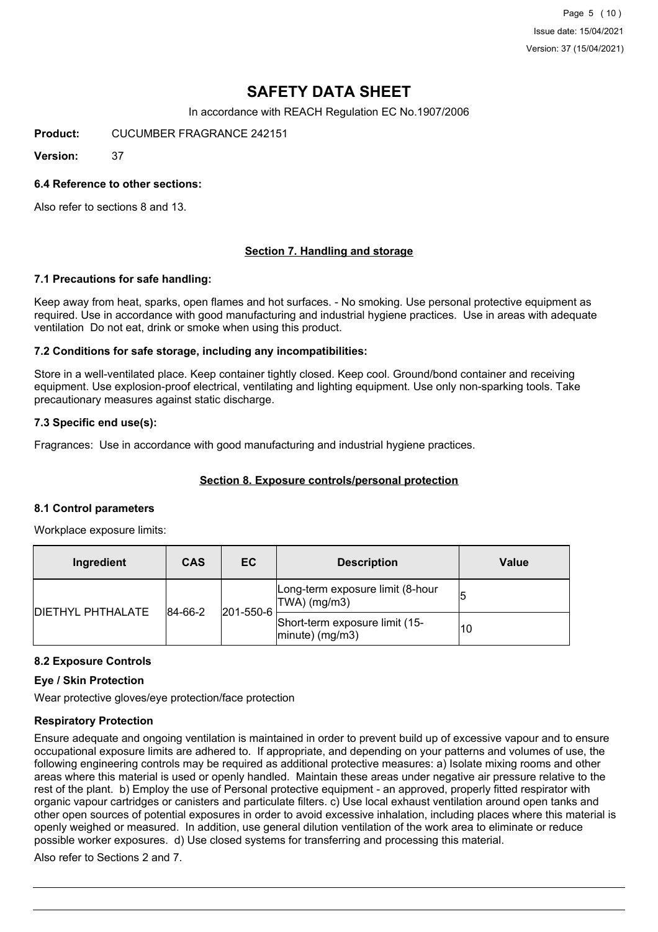Page 5 (10) Issue date: 15/04/2021 Version: 37 (15/04/2021)

# **SAFETY DATA SHEET**

In accordance with REACH Regulation EC No.1907/2006

**Product:** CUCUMBER FRAGRANCE 242151

**Version:** 37

### **6.4 Reference to other sections:**

Also refer to sections 8 and 13.

### **Section 7. Handling and storage**

#### **7.1 Precautions for safe handling:**

Keep away from heat, sparks, open flames and hot surfaces. - No smoking. Use personal protective equipment as required. Use in accordance with good manufacturing and industrial hygiene practices. Use in areas with adequate ventilation Do not eat, drink or smoke when using this product.

### **7.2 Conditions for safe storage, including any incompatibilities:**

Store in a well-ventilated place. Keep container tightly closed. Keep cool. Ground/bond container and receiving equipment. Use explosion-proof electrical, ventilating and lighting equipment. Use only non-sparking tools. Take precautionary measures against static discharge.

### **7.3 Specific end use(s):**

Fragrances: Use in accordance with good manufacturing and industrial hygiene practices.

### **Section 8. Exposure controls/personal protection**

#### **8.1 Control parameters**

Workplace exposure limits:

| Ingredient               | <b>CAS</b> | EC        | <b>Description</b>                                   | Value |
|--------------------------|------------|-----------|------------------------------------------------------|-------|
| <b>DIETHYL PHTHALATE</b> | 84-66-2    | 201-550-6 | Long-term exposure limit (8-hour<br> TWA  (mg/m3)    |       |
|                          |            |           | Short-term exposure limit (15-<br>$ minute)$ (mg/m3) | 10    |

#### **8.2 Exposure Controls**

#### **Eye / Skin Protection**

Wear protective gloves/eye protection/face protection

### **Respiratory Protection**

Ensure adequate and ongoing ventilation is maintained in order to prevent build up of excessive vapour and to ensure occupational exposure limits are adhered to. If appropriate, and depending on your patterns and volumes of use, the following engineering controls may be required as additional protective measures: a) Isolate mixing rooms and other areas where this material is used or openly handled. Maintain these areas under negative air pressure relative to the rest of the plant. b) Employ the use of Personal protective equipment - an approved, properly fitted respirator with organic vapour cartridges or canisters and particulate filters. c) Use local exhaust ventilation around open tanks and other open sources of potential exposures in order to avoid excessive inhalation, including places where this material is openly weighed or measured. In addition, use general dilution ventilation of the work area to eliminate or reduce possible worker exposures. d) Use closed systems for transferring and processing this material.

Also refer to Sections 2 and 7.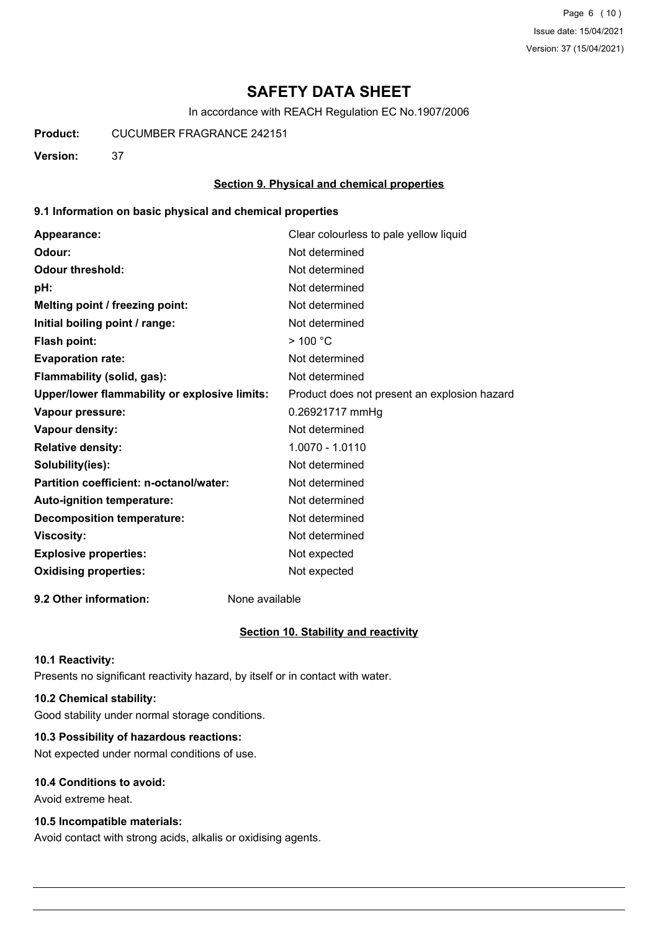Page 6 (10) Issue date: 15/04/2021 Version: 37 (15/04/2021)

# **SAFETY DATA SHEET**

In accordance with REACH Regulation EC No.1907/2006

**Product:** CUCUMBER FRAGRANCE 242151

**Version:** 37

### **Section 9. Physical and chemical properties**

### **9.1 Information on basic physical and chemical properties**

| Appearance:                                   | Clear colourless to pale yellow liquid       |
|-----------------------------------------------|----------------------------------------------|
| Odour:                                        | Not determined                               |
| <b>Odour threshold:</b>                       | Not determined                               |
| pH:                                           | Not determined                               |
| Melting point / freezing point:               | Not determined                               |
| Initial boiling point / range:                | Not determined                               |
| Flash point:                                  | $>$ 100 °C                                   |
| <b>Evaporation rate:</b>                      | Not determined                               |
| Flammability (solid, gas):                    | Not determined                               |
| Upper/lower flammability or explosive limits: | Product does not present an explosion hazard |
| Vapour pressure:                              | 0.26921717 mmHg                              |
| Vapour density:                               | Not determined                               |
| <b>Relative density:</b>                      | 1.0070 - 1.0110                              |
| Solubility(ies):                              | Not determined                               |
| Partition coefficient: n-octanol/water:       | Not determined                               |
| Auto-ignition temperature:                    | Not determined                               |
| <b>Decomposition temperature:</b>             | Not determined                               |
| <b>Viscosity:</b>                             | Not determined                               |
| <b>Explosive properties:</b>                  | Not expected                                 |
| <b>Oxidising properties:</b>                  | Not expected                                 |
|                                               |                                              |

**9.2 Other information:** None available

### **Section 10. Stability and reactivity**

#### **10.1 Reactivity:**

Presents no significant reactivity hazard, by itself or in contact with water.

## **10.2 Chemical stability:**

Good stability under normal storage conditions.

## **10.3 Possibility of hazardous reactions:**

Not expected under normal conditions of use.

### **10.4 Conditions to avoid:**

Avoid extreme heat.

### **10.5 Incompatible materials:**

Avoid contact with strong acids, alkalis or oxidising agents.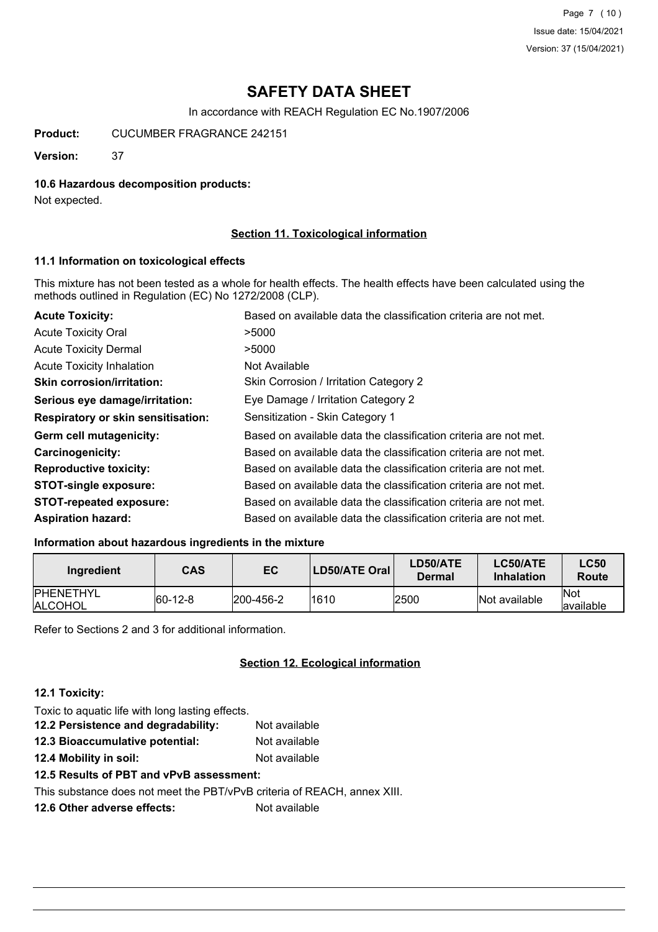Page 7 (10) Issue date: 15/04/2021 Version: 37 (15/04/2021)

# **SAFETY DATA SHEET**

In accordance with REACH Regulation EC No.1907/2006

**Product:** CUCUMBER FRAGRANCE 242151

**Version:** 37

### **10.6 Hazardous decomposition products:**

Not expected.

### **Section 11. Toxicological information**

### **11.1 Information on toxicological effects**

This mixture has not been tested as a whole for health effects. The health effects have been calculated using the methods outlined in Regulation (EC) No 1272/2008 (CLP).

| <b>Acute Toxicity:</b>                    | Based on available data the classification criteria are not met. |
|-------------------------------------------|------------------------------------------------------------------|
| <b>Acute Toxicity Oral</b>                | >5000                                                            |
| <b>Acute Toxicity Dermal</b>              | >5000                                                            |
| <b>Acute Toxicity Inhalation</b>          | Not Available                                                    |
| <b>Skin corrosion/irritation:</b>         | Skin Corrosion / Irritation Category 2                           |
| Serious eye damage/irritation:            | Eye Damage / Irritation Category 2                               |
| <b>Respiratory or skin sensitisation:</b> | Sensitization - Skin Category 1                                  |
| Germ cell mutagenicity:                   | Based on available data the classification criteria are not met. |
| <b>Carcinogenicity:</b>                   | Based on available data the classification criteria are not met. |
| <b>Reproductive toxicity:</b>             | Based on available data the classification criteria are not met. |
| <b>STOT-single exposure:</b>              | Based on available data the classification criteria are not met. |
| <b>STOT-repeated exposure:</b>            | Based on available data the classification criteria are not met. |
| <b>Aspiration hazard:</b>                 | Based on available data the classification criteria are not met. |

## **Information about hazardous ingredients in the mixture**

| Ingredient                          | <b>CAS</b>  | EC        | LD50/ATE Oral | <b>LD50/ATE</b><br>Dermal | LC50/ATE<br><b>Inhalation</b> | <b>LC50</b><br>Route |
|-------------------------------------|-------------|-----------|---------------|---------------------------|-------------------------------|----------------------|
| <b>IPHENETHYL</b><br><b>ALCOHOL</b> | $ 60-12-8 $ | 200-456-2 | 1610          | 2500                      | Not available                 | lNot<br>lavailable   |

Refer to Sections 2 and 3 for additional information.

### **Section 12. Ecological information**

### **12.1 Toxicity:**

| Toxic to aquatic life with long lasting effects.                         |               |
|--------------------------------------------------------------------------|---------------|
| 12.2 Persistence and degradability:                                      | Not available |
| 12.3 Bioaccumulative potential:                                          | Not available |
| 12.4 Mobility in soil:                                                   | Not available |
| 12.5 Results of PBT and vPvB assessment:                                 |               |
| This substance does not meet the PBT/vPvB criteria of REACH, annex XIII. |               |
| 12.6 Other adverse effects:                                              | Not available |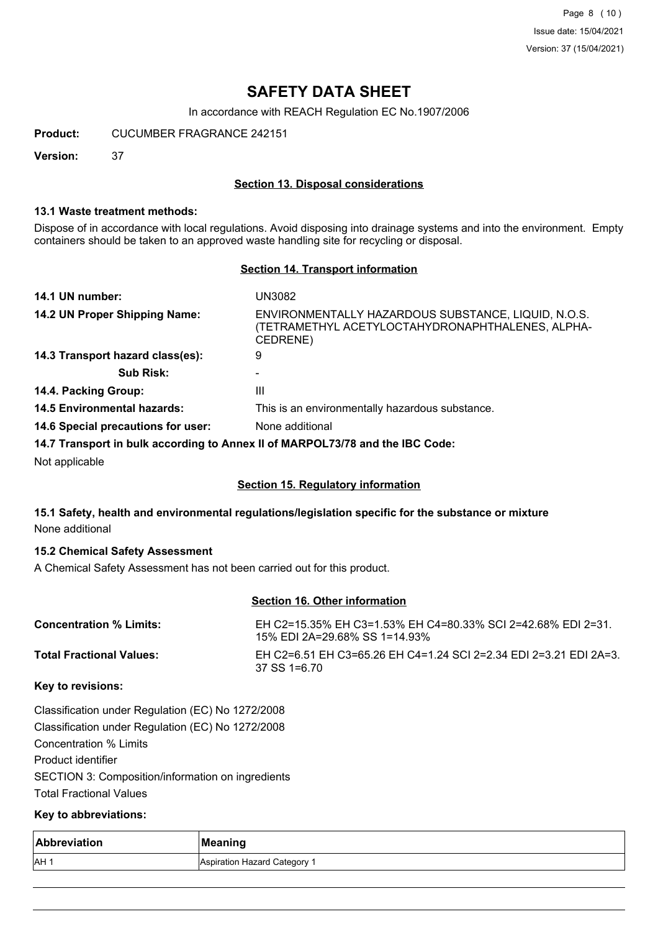Page 8 (10) Issue date: 15/04/2021 Version: 37 (15/04/2021)

# **SAFETY DATA SHEET**

In accordance with REACH Regulation EC No.1907/2006

**Product:** CUCUMBER FRAGRANCE 242151

**Version:** 37

### **Section 13. Disposal considerations**

### **13.1 Waste treatment methods:**

Dispose of in accordance with local regulations. Avoid disposing into drainage systems and into the environment. Empty containers should be taken to an approved waste handling site for recycling or disposal.

### **Section 14. Transport information**

| 14.1 UN number:                    | UN3082                                                                                                              |
|------------------------------------|---------------------------------------------------------------------------------------------------------------------|
| 14.2 UN Proper Shipping Name:      | ENVIRONMENTALLY HAZARDOUS SUBSTANCE, LIQUID, N.O.S.<br>(TETRAMETHYL ACETYLOCTAHYDRONAPHTHALENES, ALPHA-<br>CEDRENE) |
| 14.3 Transport hazard class(es):   | 9                                                                                                                   |
| <b>Sub Risk:</b>                   |                                                                                                                     |
| 14.4. Packing Group:               | Ш                                                                                                                   |
| <b>14.5 Environmental hazards:</b> | This is an environmentally hazardous substance.                                                                     |
| 14.6 Special precautions for user: | None additional                                                                                                     |
|                                    | 14.7 Transport in bulk according to Annex II of MARPOL73/78 and the IBC Code:                                       |
|                                    |                                                                                                                     |

Not applicable

### **Section 15. Regulatory information**

### **15.1 Safety, health and environmental regulations/legislation specific for the substance or mixture** None additional

### **15.2 Chemical Safety Assessment**

A Chemical Safety Assessment has not been carried out for this product.

## **Section 16. Other information**

| <b>Concentration % Limits:</b> | EH C2=15.35% EH C3=1.53% EH C4=80.33% SCI 2=42.68% EDI 2=31.<br>15% EDI 2A=29.68% SS 1=14.93% |
|--------------------------------|-----------------------------------------------------------------------------------------------|
| Total Fractional Values:       | EH C2=6.51 EH C3=65.26 EH C4=1.24 SCI 2=2.34 EDI 2=3.21 EDI 2A=3.<br>37 SS 1=6.70             |

### **Key to revisions:**

Classification under Regulation (EC) No 1272/2008 Classification under Regulation (EC) No 1272/2008 Concentration % Limits Product identifier SECTION 3: Composition/information on ingredients Total Fractional Values

### **Key to abbreviations:**

| Abbreviation | Meaning                      |
|--------------|------------------------------|
| <b>IAH</b>   | Aspiration Hazard Category 1 |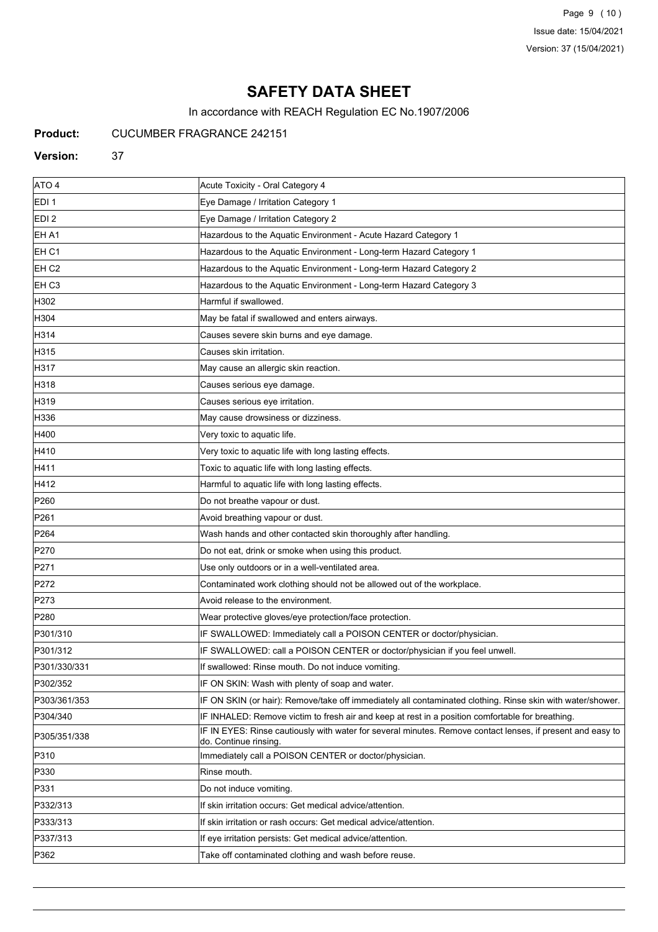Page 9 (10) Issue date: 15/04/2021 Version: 37 (15/04/2021)

# **SAFETY DATA SHEET**

In accordance with REACH Regulation EC No.1907/2006

**Product:** CUCUMBER FRAGRANCE 242151

#### **Version:** 37

| ATO 4             | Acute Toxicity - Oral Category 4                                                                                                    |
|-------------------|-------------------------------------------------------------------------------------------------------------------------------------|
| EDI <sub>1</sub>  | Eye Damage / Irritation Category 1                                                                                                  |
| EDI <sub>2</sub>  | Eye Damage / Irritation Category 2                                                                                                  |
| EH A1             | Hazardous to the Aquatic Environment - Acute Hazard Category 1                                                                      |
| EH C1             | Hazardous to the Aquatic Environment - Long-term Hazard Category 1                                                                  |
| EH C <sub>2</sub> | Hazardous to the Aquatic Environment - Long-term Hazard Category 2                                                                  |
| EH C3             | Hazardous to the Aquatic Environment - Long-term Hazard Category 3                                                                  |
| H302              | Harmful if swallowed.                                                                                                               |
| H304              | May be fatal if swallowed and enters airways.                                                                                       |
| H314              | Causes severe skin burns and eye damage.                                                                                            |
| H315              | Causes skin irritation.                                                                                                             |
| H317              | May cause an allergic skin reaction.                                                                                                |
| H318              | Causes serious eye damage.                                                                                                          |
| H319              | Causes serious eye irritation.                                                                                                      |
| H336              | May cause drowsiness or dizziness.                                                                                                  |
| H400              | Very toxic to aquatic life.                                                                                                         |
| H410              | Very toxic to aquatic life with long lasting effects.                                                                               |
| H411              | Toxic to aquatic life with long lasting effects.                                                                                    |
| H412              | Harmful to aquatic life with long lasting effects.                                                                                  |
| P <sub>260</sub>  | Do not breathe vapour or dust.                                                                                                      |
| P <sub>261</sub>  | Avoid breathing vapour or dust.                                                                                                     |
| P <sub>264</sub>  | Wash hands and other contacted skin thoroughly after handling.                                                                      |
| P270              | Do not eat, drink or smoke when using this product.                                                                                 |
| P271              | Use only outdoors or in a well-ventilated area.                                                                                     |
| P272              | Contaminated work clothing should not be allowed out of the workplace.                                                              |
| P273              | Avoid release to the environment.                                                                                                   |
| P280              | Wear protective gloves/eye protection/face protection.                                                                              |
| P301/310          | IF SWALLOWED: Immediately call a POISON CENTER or doctor/physician.                                                                 |
| P301/312          | IF SWALLOWED: call a POISON CENTER or doctor/physician if you feel unwell.                                                          |
| P301/330/331      | If swallowed: Rinse mouth. Do not induce vomiting.                                                                                  |
| P302/352          | IF ON SKIN: Wash with plenty of soap and water.                                                                                     |
| P303/361/353      | IF ON SKIN (or hair): Remove/take off immediately all contaminated clothing. Rinse skin with water/shower.                          |
| P304/340          | IF INHALED: Remove victim to fresh air and keep at rest in a position comfortable for breathing.                                    |
| P305/351/338      | IF IN EYES: Rinse cautiously with water for several minutes. Remove contact lenses, if present and easy to<br>do. Continue rinsing. |
| P310              | Immediately call a POISON CENTER or doctor/physician.                                                                               |
| P330              | Rinse mouth.                                                                                                                        |
| P331              | Do not induce vomiting.                                                                                                             |
| P332/313          | If skin irritation occurs: Get medical advice/attention.                                                                            |
| P333/313          | If skin irritation or rash occurs: Get medical advice/attention.                                                                    |
| P337/313          | If eye irritation persists: Get medical advice/attention.                                                                           |
| P362              | Take off contaminated clothing and wash before reuse.                                                                               |